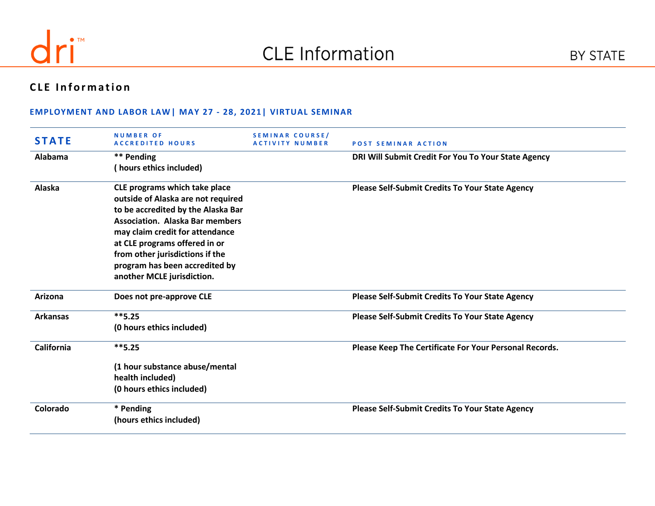

# **CLE Information**

### **EMPLOYMENT AND LABOR LAW| MAY 27 - 28, 2021| VIRTUAL SEMINAR**

| <b>STATE</b>    | <b>NUMBER OF</b><br><b>ACCREDITED HOURS</b>                                                                                                                                                                                                                                                                                | <b>SEMINAR COURSE/</b><br><b>ACTIVITY NUMBER</b> | <b>POST SEMINAR ACTION</b>                             |
|-----------------|----------------------------------------------------------------------------------------------------------------------------------------------------------------------------------------------------------------------------------------------------------------------------------------------------------------------------|--------------------------------------------------|--------------------------------------------------------|
| Alabama         | ** Pending<br>(hours ethics included)                                                                                                                                                                                                                                                                                      |                                                  | DRI Will Submit Credit For You To Your State Agency    |
| Alaska          | CLE programs which take place<br>outside of Alaska are not required<br>to be accredited by the Alaska Bar<br><b>Association. Alaska Bar members</b><br>may claim credit for attendance<br>at CLE programs offered in or<br>from other jurisdictions if the<br>program has been accredited by<br>another MCLE jurisdiction. |                                                  | <b>Please Self-Submit Credits To Your State Agency</b> |
| Arizona         | Does not pre-approve CLE                                                                                                                                                                                                                                                                                                   |                                                  | <b>Please Self-Submit Credits To Your State Agency</b> |
| <b>Arkansas</b> | $**5.25$<br>(0 hours ethics included)                                                                                                                                                                                                                                                                                      |                                                  | <b>Please Self-Submit Credits To Your State Agency</b> |
| California      | $***$ 5.25<br>(1 hour substance abuse/mental<br>health included)<br>(0 hours ethics included)                                                                                                                                                                                                                              |                                                  | Please Keep The Certificate For Your Personal Records. |
| Colorado        | * Pending<br>(hours ethics included)                                                                                                                                                                                                                                                                                       |                                                  | <b>Please Self-Submit Credits To Your State Agency</b> |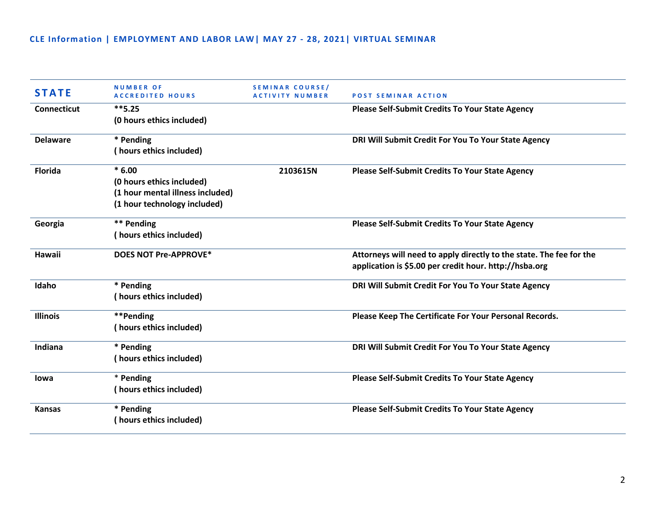| <b>STATE</b>       | <b>NUMBER OF</b><br><b>ACCREDITED HOURS</b> | <b>SEMINAR COURSE/</b><br><b>ACTIVITY NUMBER</b> | <b>POST SEMINAR ACTION</b>                                          |
|--------------------|---------------------------------------------|--------------------------------------------------|---------------------------------------------------------------------|
| <b>Connecticut</b> | $***$ 5.25                                  |                                                  | <b>Please Self-Submit Credits To Your State Agency</b>              |
|                    | (0 hours ethics included)                   |                                                  |                                                                     |
| <b>Delaware</b>    | * Pending                                   |                                                  | DRI Will Submit Credit For You To Your State Agency                 |
|                    | (hours ethics included)                     |                                                  |                                                                     |
| Florida            | $*6.00$                                     | 2103615N                                         | <b>Please Self-Submit Credits To Your State Agency</b>              |
|                    | (0 hours ethics included)                   |                                                  |                                                                     |
|                    | (1 hour mental illness included)            |                                                  |                                                                     |
|                    | (1 hour technology included)                |                                                  |                                                                     |
| Georgia            | ** Pending                                  |                                                  | <b>Please Self-Submit Credits To Your State Agency</b>              |
|                    | (hours ethics included)                     |                                                  |                                                                     |
| Hawaii             | <b>DOES NOT Pre-APPROVE*</b>                |                                                  | Attorneys will need to apply directly to the state. The fee for the |
|                    |                                             |                                                  | application is \$5.00 per credit hour. http://hsba.org              |
| Idaho              | * Pending                                   |                                                  | DRI Will Submit Credit For You To Your State Agency                 |
|                    | (hours ethics included)                     |                                                  |                                                                     |
| <b>Illinois</b>    | **Pending                                   |                                                  | Please Keep The Certificate For Your Personal Records.              |
|                    | (hours ethics included)                     |                                                  |                                                                     |
| Indiana            | * Pending                                   |                                                  | DRI Will Submit Credit For You To Your State Agency                 |
|                    | (hours ethics included)                     |                                                  |                                                                     |
| lowa               | * Pending                                   |                                                  | <b>Please Self-Submit Credits To Your State Agency</b>              |
|                    | (hours ethics included)                     |                                                  |                                                                     |
| <b>Kansas</b>      | * Pending                                   |                                                  | <b>Please Self-Submit Credits To Your State Agency</b>              |
|                    | (hours ethics included)                     |                                                  |                                                                     |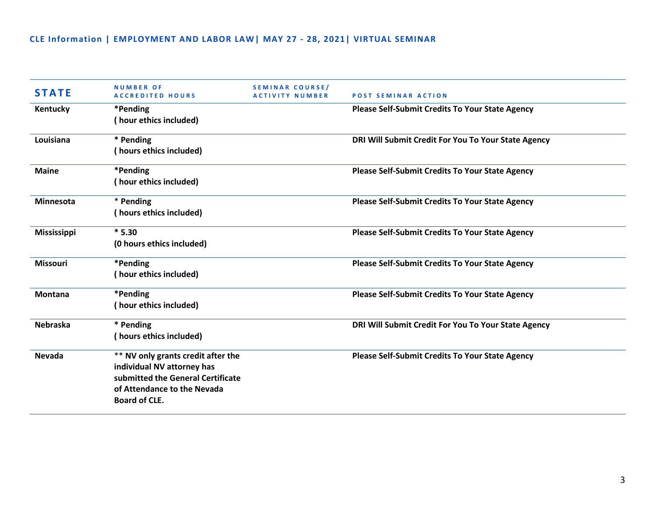| <b>STATE</b>       | <b>NUMBER OF</b><br><b>ACCREDITED HOURS</b>                                                                                                                  | <b>SEMINAR COURSE/</b><br><b>ACTIVITY NUMBER</b> | <b>POST SEMINAR ACTION</b>                             |
|--------------------|--------------------------------------------------------------------------------------------------------------------------------------------------------------|--------------------------------------------------|--------------------------------------------------------|
| Kentucky           | *Pending<br>(hour ethics included)                                                                                                                           |                                                  | <b>Please Self-Submit Credits To Your State Agency</b> |
| Louisiana          | * Pending<br>(hours ethics included)                                                                                                                         |                                                  | DRI Will Submit Credit For You To Your State Agency    |
| <b>Maine</b>       | *Pending<br>(hour ethics included)                                                                                                                           |                                                  | <b>Please Self-Submit Credits To Your State Agency</b> |
| <b>Minnesota</b>   | * Pending<br>(hours ethics included)                                                                                                                         |                                                  | <b>Please Self-Submit Credits To Your State Agency</b> |
| <b>Mississippi</b> | $*5.30$<br>(0 hours ethics included)                                                                                                                         |                                                  | <b>Please Self-Submit Credits To Your State Agency</b> |
| <b>Missouri</b>    | *Pending<br>(hour ethics included)                                                                                                                           |                                                  | <b>Please Self-Submit Credits To Your State Agency</b> |
| <b>Montana</b>     | *Pending<br>(hour ethics included)                                                                                                                           |                                                  | <b>Please Self-Submit Credits To Your State Agency</b> |
| <b>Nebraska</b>    | * Pending<br>(hours ethics included)                                                                                                                         |                                                  | DRI Will Submit Credit For You To Your State Agency    |
| <b>Nevada</b>      | ** NV only grants credit after the<br>individual NV attorney has<br>submitted the General Certificate<br>of Attendance to the Nevada<br><b>Board of CLE.</b> |                                                  | <b>Please Self-Submit Credits To Your State Agency</b> |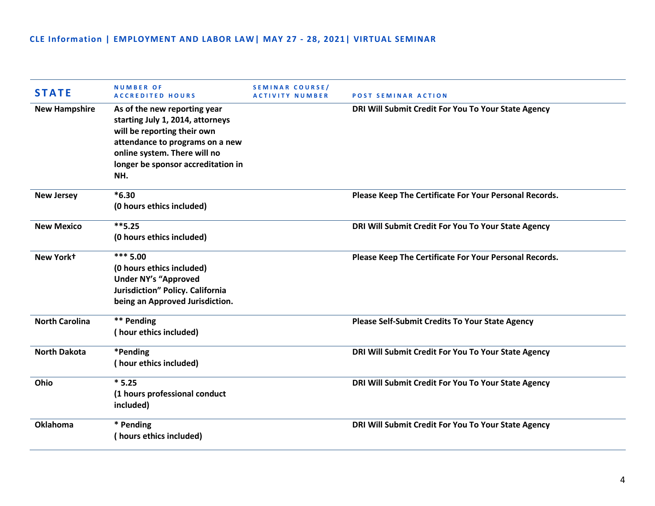| <b>STATE</b>          | <b>NUMBER OF</b><br><b>ACCREDITED HOURS</b>                                                                                                                                                                     | SEMINAR COURSE/<br><b>ACTIVITY NUMBER</b> | <b>POST SEMINAR ACTION</b>                             |
|-----------------------|-----------------------------------------------------------------------------------------------------------------------------------------------------------------------------------------------------------------|-------------------------------------------|--------------------------------------------------------|
| <b>New Hampshire</b>  | As of the new reporting year<br>starting July 1, 2014, attorneys<br>will be reporting their own<br>attendance to programs on a new<br>online system. There will no<br>longer be sponsor accreditation in<br>NH. |                                           | DRI Will Submit Credit For You To Your State Agency    |
| <b>New Jersey</b>     | $*6.30$<br>(0 hours ethics included)                                                                                                                                                                            |                                           | Please Keep The Certificate For Your Personal Records. |
| <b>New Mexico</b>     | $***$ 5.25<br>(0 hours ethics included)                                                                                                                                                                         |                                           | DRI Will Submit Credit For You To Your State Agency    |
| New York+             | $*** 5.00$<br>(0 hours ethics included)<br><b>Under NY's "Approved</b><br>Jurisdiction" Policy. California<br>being an Approved Jurisdiction.                                                                   |                                           | Please Keep The Certificate For Your Personal Records. |
| <b>North Carolina</b> | ** Pending<br>(hour ethics included)                                                                                                                                                                            |                                           | <b>Please Self-Submit Credits To Your State Agency</b> |
| <b>North Dakota</b>   | *Pending<br>(hour ethics included)                                                                                                                                                                              |                                           | DRI Will Submit Credit For You To Your State Agency    |
| Ohio                  | $*5.25$<br>(1 hours professional conduct<br>included)                                                                                                                                                           |                                           | DRI Will Submit Credit For You To Your State Agency    |
| <b>Oklahoma</b>       | * Pending<br>(hours ethics included)                                                                                                                                                                            |                                           | DRI Will Submit Credit For You To Your State Agency    |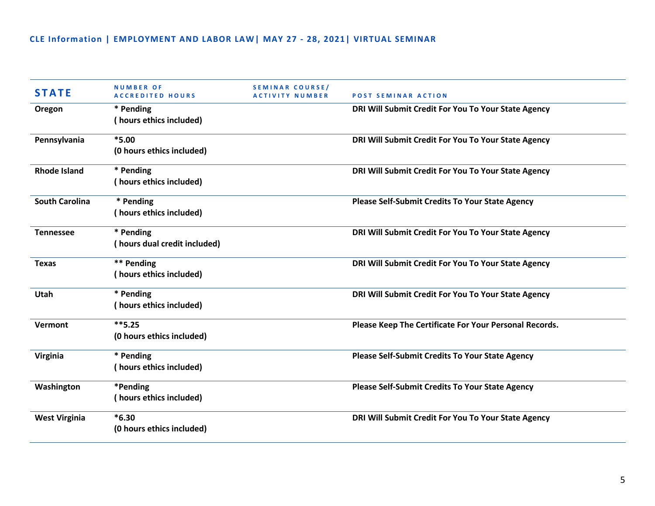| <b>STATE</b>          | <b>NUMBER OF</b><br><b>ACCREDITED HOURS</b> | <b>SEMINAR COURSE/</b><br><b>ACTIVITY NUMBER</b> | <b>POST SEMINAR ACTION</b>                             |
|-----------------------|---------------------------------------------|--------------------------------------------------|--------------------------------------------------------|
| Oregon                | * Pending                                   |                                                  | DRI Will Submit Credit For You To Your State Agency    |
|                       | (hours ethics included)                     |                                                  |                                                        |
| Pennsylvania          | $*5.00$                                     |                                                  | DRI Will Submit Credit For You To Your State Agency    |
|                       | (0 hours ethics included)                   |                                                  |                                                        |
| <b>Rhode Island</b>   | * Pending                                   |                                                  | DRI Will Submit Credit For You To Your State Agency    |
|                       | (hours ethics included)                     |                                                  |                                                        |
| <b>South Carolina</b> | * Pending                                   |                                                  | <b>Please Self-Submit Credits To Your State Agency</b> |
|                       | (hours ethics included)                     |                                                  |                                                        |
| <b>Tennessee</b>      | * Pending                                   |                                                  | DRI Will Submit Credit For You To Your State Agency    |
|                       | (hours dual credit included)                |                                                  |                                                        |
| <b>Texas</b>          | ** Pending                                  |                                                  | DRI Will Submit Credit For You To Your State Agency    |
|                       | (hours ethics included)                     |                                                  |                                                        |
| <b>Utah</b>           | * Pending                                   |                                                  | DRI Will Submit Credit For You To Your State Agency    |
|                       | (hours ethics included)                     |                                                  |                                                        |
| Vermont               | $**5.25$                                    |                                                  | Please Keep The Certificate For Your Personal Records. |
|                       | (0 hours ethics included)                   |                                                  |                                                        |
| Virginia              | * Pending                                   |                                                  | <b>Please Self-Submit Credits To Your State Agency</b> |
|                       | (hours ethics included)                     |                                                  |                                                        |
| Washington            | *Pending                                    |                                                  | <b>Please Self-Submit Credits To Your State Agency</b> |
|                       | (hours ethics included)                     |                                                  |                                                        |
| <b>West Virginia</b>  | $*6.30$                                     |                                                  | DRI Will Submit Credit For You To Your State Agency    |
|                       | (0 hours ethics included)                   |                                                  |                                                        |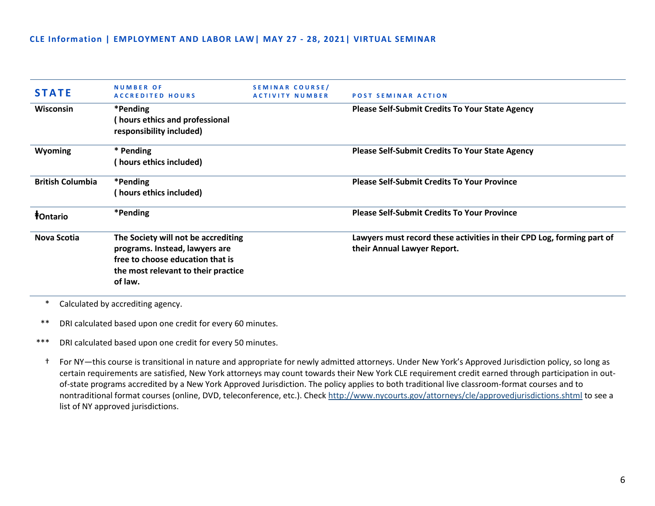| <b>STATE</b>                  | <b>NUMBER OF</b><br><b>ACCREDITED HOURS</b>                                                                                                                 | SEMINAR COURSE/<br><b>ACTIVITY NUMBER</b> | <b>POST SEMINAR ACTION</b>                                                                            |
|-------------------------------|-------------------------------------------------------------------------------------------------------------------------------------------------------------|-------------------------------------------|-------------------------------------------------------------------------------------------------------|
| Wisconsin                     | *Pending<br>hours ethics and professional<br>responsibility included)                                                                                       |                                           | <b>Please Self-Submit Credits To Your State Agency</b>                                                |
| <b>Wyoming</b>                | * Pending<br>hours ethics included)                                                                                                                         |                                           | <b>Please Self-Submit Credits To Your State Agency</b>                                                |
| <b>British Columbia</b>       | *Pending<br>(hours ethics included)                                                                                                                         |                                           | <b>Please Self-Submit Credits To Your Province</b>                                                    |
| <b><i><u>†Ontario</u></i></b> | *Pending                                                                                                                                                    |                                           | <b>Please Self-Submit Credits To Your Province</b>                                                    |
| Nova Scotia                   | The Society will not be accrediting<br>programs. Instead, lawyers are<br>free to choose education that is<br>the most relevant to their practice<br>of law. |                                           | Lawyers must record these activities in their CPD Log, forming part of<br>their Annual Lawyer Report. |

\* Calculated by accrediting agency.

\*\* DRI calculated based upon one credit for every 60 minutes.

\*\*\* DRI calculated based upon one credit for every 50 minutes.

† For NY—this course is transitional in nature and appropriate for newly admitted attorneys. Under New York's Approved Jurisdiction policy, so long as certain requirements are satisfied, New York attorneys may count towards their New York CLE requirement credit earned through participation in outof-state programs accredited by a New York Approved Jurisdiction. The policy applies to both traditional live classroom-format courses and to nontraditional format courses (online, DVD, teleconference, etc.). Check<http://www.nycourts.gov/attorneys/cle/approvedjurisdictions.shtml> to see a list of NY approved jurisdictions.